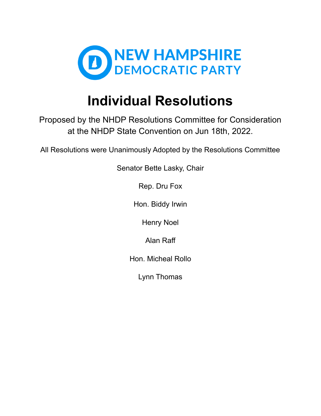

# **Individual Resolutions**

Proposed by the NHDP Resolutions Committee for Consideration at the NHDP State Convention on Jun 18th, 2022.

All Resolutions were Unanimously Adopted by the Resolutions Committee

Senator Bette Lasky, Chair

Rep. Dru Fox

Hon. Biddy Irwin

Henry Noel

Alan Raff

Hon. Micheal Rollo

Lynn Thomas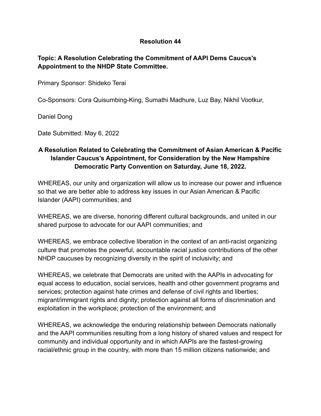# **Topic: A Resolution Celebrating the Commitment of AAPI Dems Caucus's Appointment to the NHDP State Committee.**

Primary Sponsor: Shideko Terai

Co-Sponsors: Cora Quisumbing-King, Sumathi Madhure, Luz Bay, Nikhil Vootkur,

Daniel Dong

Date Submitted: May 6, 2022

# **A Resolution Related to Celebrating the Commitment of Asian American & Pacific Islander Caucus's Appointment, for Consideration by the New Hampshire Democratic Party Convention on Saturday, June 18, 2022.**

WHEREAS, our unity and organization will allow us to increase our power and influence so that we are better able to address key issues in our Asian American & Pacific Islander (AAPI) communities; and

WHEREAS, we are diverse, honoring different cultural backgrounds, and united in our shared purpose to advocate for our AAPI communities; and

WHEREAS, we embrace collective liberation in the context of an anti-racist organizing culture that promotes the powerful, accountable racial justice contributions of the other NHDP caucuses by recognizing diversity in the spirit of inclusivity; and

WHEREAS, we celebrate that Democrats are united with the AAPIs in advocating for equal access to education, social services, health and other government programs and services; protection against hate crimes and defense of civil rights and liberties; migrant/immigrant rights and dignity; protection against all forms of discrimination and exploitation in the workplace; protection of the environment; and

WHEREAS, we acknowledge the enduring relationship between Democrats nationally and the AAPI communities resulting from a long history of shared values and respect for community and individual opportunity and in which AAPIs are the fastest-growing racial/ethnic group in the country, with more than 15 million citizens nationwide; and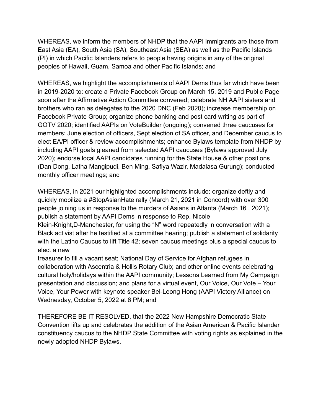WHEREAS, we inform the members of NHDP that the AAPI immigrants are those from East Asia (EA), South Asia (SA), Southeast Asia (SEA) as well as the Pacific Islands (PI) in which Pacific Islanders refers to people having origins in any of the original peoples of Hawaii, Guam, Samoa and other Pacific Islands; and

WHEREAS, we highlight the accomplishments of AAPI Dems thus far which have been in 2019-2020 to: create a Private Facebook Group on March 15, 2019 and Public Page soon after the Affirmative Action Committee convened; celebrate NH AAPI sisters and brothers who ran as delegates to the 2020 DNC (Feb 2020); increase membership on Facebook Private Group; organize phone banking and post card writing as part of GOTV 2020; identified AAPIs on VoteBuilder (ongoing); convened three caucuses for members: June election of officers, Sept election of SA officer, and December caucus to elect EA/PI officer & review accomplishments; enhance Bylaws template from NHDP by including AAPI goals gleaned from selected AAPI caucuses (Bylaws approved July 2020); endorse local AAPI candidates running for the State House & other positions (Dan Dong, Latha Mangipudi, Ben Ming, Safiya Wazir, Madalasa Gurung); conducted monthly officer meetings; and

WHEREAS, in 2021 our highlighted accomplishments include: organize deftly and quickly mobilize a #StopAsianHate rally (March 21, 2021 in Concord) with over 300 people joining us in response to the murders of Asians in Atlanta (March 16 , 2021); publish a statement by AAPI Dems in response to Rep. Nicole

Klein-Knight,D-Manchester, for using the "N" word repeatedly in conversation with a Black activist after he testified at a committee hearing; publish a statement of solidarity with the Latino Caucus to lift Title 42; seven caucus meetings plus a special caucus to elect a new

treasurer to fill a vacant seat; National Day of Service for Afghan refugees in collaboration with Ascentria & Hollis Rotary Club; and other online events celebrating cultural holy/holidays within the AAPI community; Lessons Learned from My Campaign presentation and discussion; and plans for a virtual event, Our Voice, Our Vote – Your Voice, Your Power with keynote speaker Bel-Leong Hong (AAPI Victory Alliance) on Wednesday, October 5, 2022 at 6 PM; and

THEREFORE BE IT RESOLVED, that the 2022 New Hampshire Democratic State Convention lifts up and celebrates the addition of the Asian American & Pacific Islander constituency caucus to the NHDP State Committee with voting rights as explained in the newly adopted NHDP Bylaws.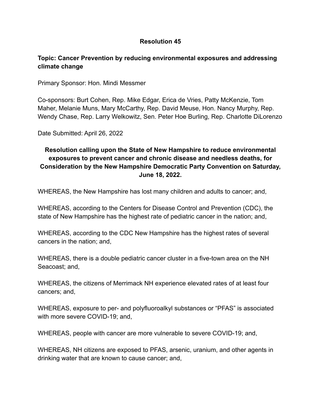# **Topic: Cancer Prevention by reducing environmental exposures and addressing climate change**

Primary Sponsor: Hon. Mindi Messmer

Co-sponsors: Burt Cohen, Rep. Mike Edgar, Erica de Vries, Patty McKenzie, Tom Maher, Melanie Muns, Mary McCarthy, Rep. David Meuse, Hon. Nancy Murphy, Rep. Wendy Chase, Rep. Larry Welkowitz, Sen. Peter Hoe Burling, Rep. Charlotte DiLorenzo

Date Submitted: April 26, 2022

# **Resolution calling upon the State of New Hampshire to reduce environmental exposures to prevent cancer and chronic disease and needless deaths, for Consideration by the New Hampshire Democratic Party Convention on Saturday, June 18, 2022.**

WHEREAS, the New Hampshire has lost many children and adults to cancer; and,

WHEREAS, according to the Centers for Disease Control and Prevention (CDC), the state of New Hampshire has the highest rate of pediatric cancer in the nation; and,

WHEREAS, according to the CDC New Hampshire has the highest rates of several cancers in the nation; and,

WHEREAS, there is a double pediatric cancer cluster in a five-town area on the NH Seacoast; and,

WHEREAS, the citizens of Merrimack NH experience elevated rates of at least four cancers; and,

WHEREAS, exposure to per- and polyfluoroalkyl substances or "PFAS" is associated with more severe COVID-19; and,

WHEREAS, people with cancer are more vulnerable to severe COVID-19; and,

WHEREAS, NH citizens are exposed to PFAS, arsenic, uranium, and other agents in drinking water that are known to cause cancer; and,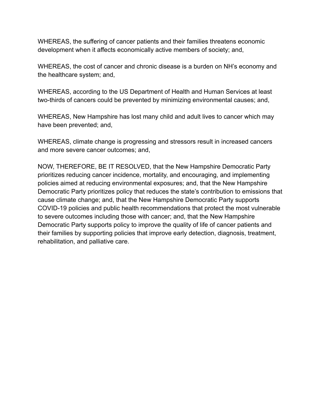WHEREAS, the suffering of cancer patients and their families threatens economic development when it affects economically active members of society; and,

WHEREAS, the cost of cancer and chronic disease is a burden on NH's economy and the healthcare system; and,

WHEREAS, according to the US Department of Health and Human Services at least two-thirds of cancers could be prevented by minimizing environmental causes; and,

WHEREAS, New Hampshire has lost many child and adult lives to cancer which may have been prevented; and,

WHEREAS, climate change is progressing and stressors result in increased cancers and more severe cancer outcomes; and,

NOW, THEREFORE, BE IT RESOLVED, that the New Hampshire Democratic Party prioritizes reducing cancer incidence, mortality, and encouraging, and implementing policies aimed at reducing environmental exposures; and, that the New Hampshire Democratic Party prioritizes policy that reduces the state's contribution to emissions that cause climate change; and, that the New Hampshire Democratic Party supports COVID-19 policies and public health recommendations that protect the most vulnerable to severe outcomes including those with cancer; and, that the New Hampshire Democratic Party supports policy to improve the quality of life of cancer patients and their families by supporting policies that improve early detection, diagnosis, treatment, rehabilitation, and palliative care.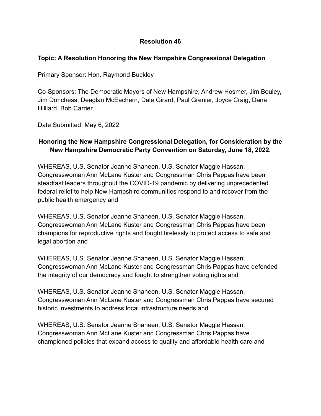#### **Topic: A Resolution Honoring the New Hampshire Congressional Delegation**

Primary Sponsor: Hon. Raymond Buckley

Co-Sponsors: The Democratic Mayors of New Hampshire; Andrew Hosmer, Jim Bouley, Jim Donchess, Deaglan McEachern, Dale Girard, Paul Grenier, Joyce Craig, Dana Hilliard, Bob Carrier

Date Submitted: May 6, 2022

# **Honoring the New Hampshire Congressional Delegation, for Consideration by the New Hampshire Democratic Party Convention on Saturday, June 18, 2022.**

WHEREAS, U.S. Senator Jeanne Shaheen, U.S. Senator Maggie Hassan, Congresswoman Ann McLane Kuster and Congressman Chris Pappas have been steadfast leaders throughout the COVID-19 pandemic by delivering unprecedented federal relief to help New Hampshire communities respond to and recover from the public health emergency and

WHEREAS, U.S. Senator Jeanne Shaheen, U.S. Senator Maggie Hassan, Congresswoman Ann McLane Kuster and Congressman Chris Pappas have been champions for reproductive rights and fought tirelessly to protect access to safe and legal abortion and

WHEREAS, U.S. Senator Jeanne Shaheen, U.S. Senator Maggie Hassan, Congresswoman Ann McLane Kuster and Congressman Chris Pappas have defended the integrity of our democracy and fought to strengthen voting rights and

WHEREAS, U.S. Senator Jeanne Shaheen, U.S. Senator Maggie Hassan, Congresswoman Ann McLane Kuster and Congressman Chris Pappas have secured historic investments to address local infrastructure needs and

WHEREAS, U.S. Senator Jeanne Shaheen, U.S. Senator Maggie Hassan, Congresswoman Ann McLane Kuster and Congressman Chris Pappas have championed policies that expand access to quality and affordable health care and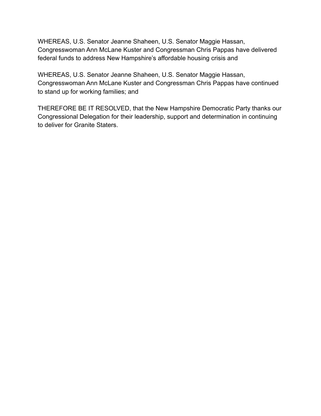WHEREAS, U.S. Senator Jeanne Shaheen, U.S. Senator Maggie Hassan, Congresswoman Ann McLane Kuster and Congressman Chris Pappas have delivered federal funds to address New Hampshire's affordable housing crisis and

WHEREAS, U.S. Senator Jeanne Shaheen, U.S. Senator Maggie Hassan, Congresswoman Ann McLane Kuster and Congressman Chris Pappas have continued to stand up for working families; and

THEREFORE BE IT RESOLVED, that the New Hampshire Democratic Party thanks our Congressional Delegation for their leadership, support and determination in continuing to deliver for Granite Staters.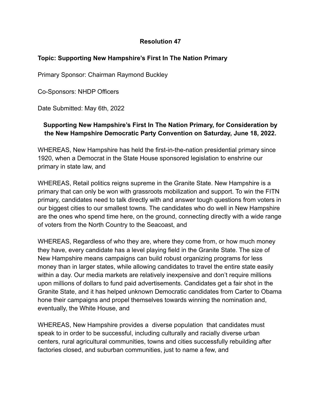## **Topic: Supporting New Hampshire's First In The Nation Primary**

Primary Sponsor: Chairman Raymond Buckley

Co-Sponsors: NHDP Officers

Date Submitted: May 6th, 2022

# **Supporting New Hampshire's First In The Nation Primary, for Consideration by the New Hampshire Democratic Party Convention on Saturday, June 18, 2022.**

WHEREAS, New Hampshire has held the first-in-the-nation presidential primary since 1920, when a Democrat in the State House sponsored legislation to enshrine our primary in state law, and

WHEREAS, Retail politics reigns supreme in the Granite State. New Hampshire is a primary that can only be won with grassroots mobilization and support. To win the FITN primary, candidates need to talk directly with and answer tough questions from voters in our biggest cities to our smallest towns. The candidates who do well in New Hampshire are the ones who spend time here, on the ground, connecting directly with a wide range of voters from the North Country to the Seacoast, and

WHEREAS, Regardless of who they are, where they come from, or how much money they have, every candidate has a level playing field in the Granite State. The size of New Hampshire means campaigns can build robust organizing programs for less money than in larger states, while allowing candidates to travel the entire state easily within a day. Our media markets are relatively inexpensive and don't require millions upon millions of dollars to fund paid advertisements. Candidates get a fair shot in the Granite State, and it has helped unknown Democratic candidates from Carter to Obama hone their campaigns and propel themselves towards winning the nomination and, eventually, the White House, and

WHEREAS, New Hampshire provides a diverse population that candidates must speak to in order to be successful, including culturally and racially diverse urban centers, rural agricultural communities, towns and cities successfully rebuilding after factories closed, and suburban communities, just to name a few, and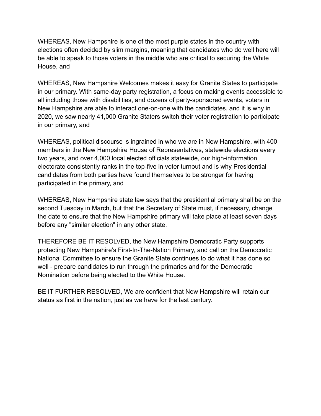WHEREAS, New Hampshire is one of the most purple states in the country with elections often decided by slim margins, meaning that candidates who do well here will be able to speak to those voters in the middle who are critical to securing the White House, and

WHEREAS, New Hampshire Welcomes makes it easy for Granite States to participate in our primary. With same-day party registration, a focus on making events accessible to all including those with disabilities, and dozens of party-sponsored events, voters in New Hampshire are able to interact one-on-one with the candidates, and it is why in 2020, we saw nearly 41,000 Granite Staters switch their voter registration to participate in our primary, and

WHEREAS, political discourse is ingrained in who we are in New Hampshire, with 400 members in the New Hampshire House of Representatives, statewide elections every two years, and over 4,000 local elected officials statewide, our high-information electorate consistently ranks in the top-five in voter turnout and is why Presidential candidates from both parties have found themselves to be stronger for having participated in the primary, and

WHEREAS, New Hampshire state law says that the presidential primary shall be on the second Tuesday in March, but that the Secretary of State must, if necessary, change the date to ensure that the New Hampshire primary will take place at least seven days before any "similar election" in any other state.

THEREFORE BE IT RESOLVED, the New Hampshire Democratic Party supports protecting New Hampshire's First-In-The-Nation Primary, and call on the Democratic National Committee to ensure the Granite State continues to do what it has done so well - prepare candidates to run through the primaries and for the Democratic Nomination before being elected to the White House.

BE IT FURTHER RESOLVED, We are confident that New Hampshire will retain our status as first in the nation, just as we have for the last century.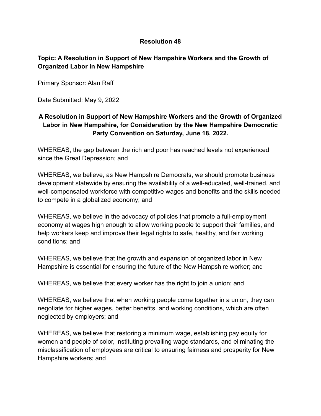# **Topic: A Resolution in Support of New Hampshire Workers and the Growth of Organized Labor in New Hampshire**

Primary Sponsor: Alan Raff

Date Submitted: May 9, 2022

# **A Resolution in Support of New Hampshire Workers and the Growth of Organized Labor in New Hampshire, for Consideration by the New Hampshire Democratic Party Convention on Saturday, June 18, 2022.**

WHEREAS, the gap between the rich and poor has reached levels not experienced since the Great Depression; and

WHEREAS, we believe, as New Hampshire Democrats, we should promote business development statewide by ensuring the availability of a well-educated, well-trained, and well-compensated workforce with competitive wages and benefits and the skills needed to compete in a globalized economy; and

WHEREAS, we believe in the advocacy of policies that promote a full-employment economy at wages high enough to allow working people to support their families, and help workers keep and improve their legal rights to safe, healthy, and fair working conditions; and

WHEREAS, we believe that the growth and expansion of organized labor in New Hampshire is essential for ensuring the future of the New Hampshire worker; and

WHEREAS, we believe that every worker has the right to join a union; and

WHEREAS, we believe that when working people come together in a union, they can negotiate for higher wages, better benefits, and working conditions, which are often neglected by employers; and

WHEREAS, we believe that restoring a minimum wage, establishing pay equity for women and people of color, instituting prevailing wage standards, and eliminating the misclassification of employees are critical to ensuring fairness and prosperity for New Hampshire workers; and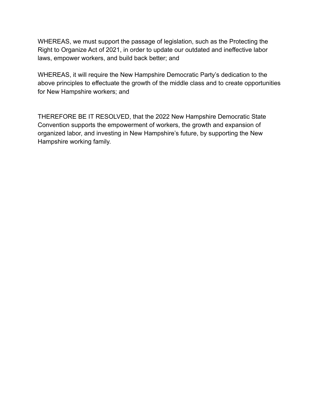WHEREAS, we must support the passage of legislation, such as the Protecting the Right to Organize Act of 2021, in order to update our outdated and ineffective labor laws, empower workers, and build back better; and

WHEREAS, it will require the New Hampshire Democratic Party's dedication to the above principles to effectuate the growth of the middle class and to create opportunities for New Hampshire workers; and

THEREFORE BE IT RESOLVED, that the 2022 New Hampshire Democratic State Convention supports the empowerment of workers, the growth and expansion of organized labor, and investing in New Hampshire's future, by supporting the New Hampshire working family.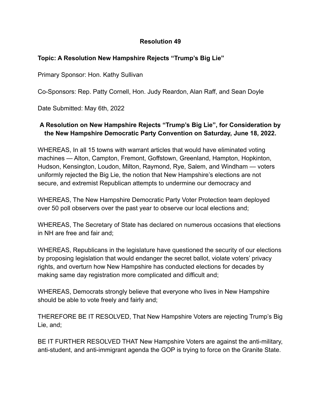## **Topic: A Resolution New Hampshire Rejects "Trump's Big Lie"**

Primary Sponsor: Hon. Kathy Sullivan

Co-Sponsors: Rep. Patty Cornell, Hon. Judy Reardon, Alan Raff, and Sean Doyle

Date Submitted: May 6th, 2022

# **A Resolution on New Hampshire Rejects "Trump's Big Lie", for Consideration by the New Hampshire Democratic Party Convention on Saturday, June 18, 2022.**

WHEREAS, In all 15 towns with warrant articles that would have eliminated voting machines — Alton, Campton, Fremont, Goffstown, Greenland, Hampton, Hopkinton, Hudson, Kensington, Loudon, Milton, Raymond, Rye, Salem, and Windham — voters uniformly rejected the Big Lie, the notion that New Hampshire's elections are not secure, and extremist Republican attempts to undermine our democracy and

WHEREAS, The New Hampshire Democratic Party Voter Protection team deployed over 50 poll observers over the past year to observe our local elections and;

WHEREAS, The Secretary of State has declared on numerous occasions that elections in NH are free and fair and;

WHEREAS, Republicans in the legislature have questioned the security of our elections by proposing legislation that would endanger the secret ballot, violate voters' privacy rights, and overturn how New Hampshire has conducted elections for decades by making same day registration more complicated and difficult and;

WHEREAS, Democrats strongly believe that everyone who lives in New Hampshire should be able to vote freely and fairly and;

THEREFORE BE IT RESOLVED, That New Hampshire Voters are rejecting Trump's Big Lie, and;

BE IT FURTHER RESOLVED THAT New Hampshire Voters are against the anti-military, anti-student, and anti-immigrant agenda the GOP is trying to force on the Granite State.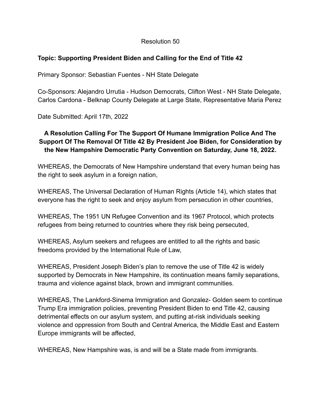# **Topic: Supporting President Biden and Calling for the End of Title 42**

Primary Sponsor: Sebastian Fuentes - NH State Delegate

Co-Sponsors: Alejandro Urrutia - Hudson Democrats, Clifton West - NH State Delegate, Carlos Cardona - Belknap County Delegate at Large State, Representative Maria Perez

Date Submitted: April 17th, 2022

# **A Resolution Calling For The Support Of Humane Immigration Police And The Support Of The Removal Of Title 42 By President Joe Biden, for Consideration by the New Hampshire Democratic Party Convention on Saturday, June 18, 2022.**

WHEREAS, the Democrats of New Hampshire understand that every human being has the right to seek asylum in a foreign nation,

WHEREAS, The Universal Declaration of Human Rights (Article 14), which states that everyone has the right to seek and enjoy asylum from persecution in other countries,

WHEREAS, The 1951 UN Refugee Convention and its 1967 Protocol, which protects refugees from being returned to countries where they risk being persecuted,

WHEREAS, Asylum seekers and refugees are entitled to all the rights and basic freedoms provided by the International Rule of Law,

WHEREAS, President Joseph Biden's plan to remove the use of Title 42 is widely supported by Democrats in New Hampshire, its continuation means family separations, trauma and violence against black, brown and immigrant communities.

WHEREAS, The Lankford-Sinema Immigration and Gonzalez- Golden seem to continue Trump Era immigration policies, preventing President Biden to end Title 42, causing detrimental effects on our asylum system, and putting at-risk individuals seeking violence and oppression from South and Central America, the Middle East and Eastern Europe immigrants will be affected,

WHEREAS, New Hampshire was, is and will be a State made from immigrants.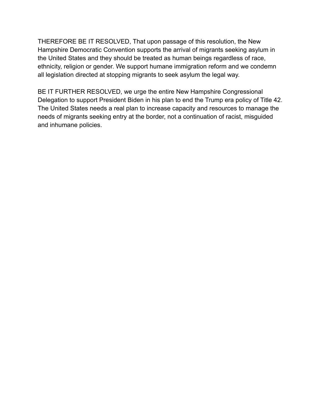THEREFORE BE IT RESOLVED, That upon passage of this resolution, the New Hampshire Democratic Convention supports the arrival of migrants seeking asylum in the United States and they should be treated as human beings regardless of race, ethnicity, religion or gender. We support humane immigration reform and we condemn all legislation directed at stopping migrants to seek asylum the legal way.

BE IT FURTHER RESOLVED, we urge the entire New Hampshire Congressional Delegation to support President Biden in his plan to end the Trump era policy of Title 42. The United States needs a real plan to increase capacity and resources to manage the needs of migrants seeking entry at the border, not a continuation of racist, misguided and inhumane policies.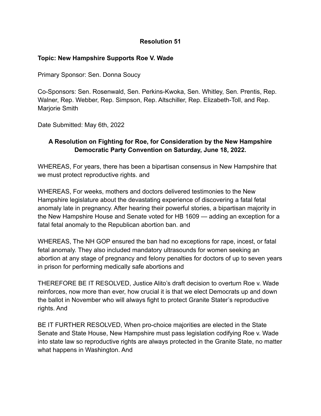#### **Topic: New Hampshire Supports Roe V. Wade**

Primary Sponsor: Sen. Donna Soucy

Co-Sponsors: Sen. Rosenwald, Sen. Perkins-Kwoka, Sen. Whitley, Sen. Prentis, Rep. Walner, Rep. Webber, Rep. Simpson, Rep. Altschiller, Rep. Elizabeth-Toll, and Rep. Marjorie Smith

Date Submitted: May 6th, 2022

# **A Resolution on Fighting for Roe, for Consideration by the New Hampshire Democratic Party Convention on Saturday, June 18, 2022.**

WHEREAS, For years, there has been a bipartisan consensus in New Hampshire that we must protect reproductive rights. and

WHEREAS, For weeks, mothers and doctors delivered testimonies to the New Hampshire legislature about the devastating experience of discovering a fatal fetal anomaly late in pregnancy. After hearing their powerful stories, a bipartisan majority in the New Hampshire House and Senate voted for HB 1609 — adding an exception for a fatal fetal anomaly to the Republican abortion ban. and

WHEREAS, The NH GOP ensured the ban had no exceptions for rape, incest, or fatal fetal anomaly. They also included mandatory ultrasounds for women seeking an abortion at any stage of pregnancy and felony penalties for doctors of up to seven years in prison for performing medically safe abortions and

THEREFORE BE IT RESOLVED, Justice Alito's draft decision to overturn Roe v. Wade reinforces, now more than ever, how crucial it is that we elect Democrats up and down the ballot in November who will always fight to protect Granite Stater's reproductive rights. And

BE IT FURTHER RESOLVED, When pro-choice majorities are elected in the State Senate and State House, New Hampshire must pass legislation codifying Roe v. Wade into state law so reproductive rights are always protected in the Granite State, no matter what happens in Washington. And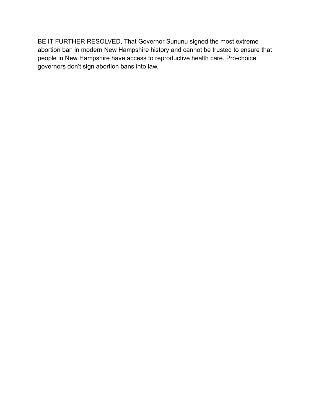BE IT FURTHER RESOLVED, That Governor Sununu signed the most extreme abortion ban in modern New Hampshire history and cannot be trusted to ensure that people in New Hampshire have access to reproductive health care. Pro-choice governors don't sign abortion bans into law.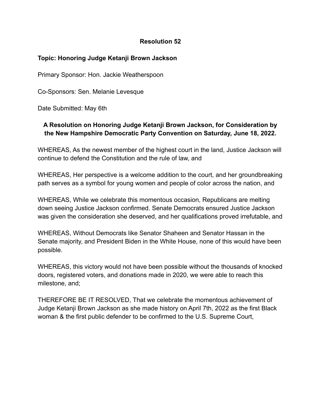## **Topic: Honoring Judge Ketanji Brown Jackson**

Primary Sponsor: Hon. Jackie Weatherspoon

Co-Sponsors: Sen. Melanie Levesque

Date Submitted: May 6th

# **A Resolution on Honoring Judge Ketanji Brown Jackson, for Consideration by the New Hampshire Democratic Party Convention on Saturday, June 18, 2022.**

WHEREAS, As the newest member of the highest court in the land, Justice Jackson will continue to defend the Constitution and the rule of law, and

WHEREAS, Her perspective is a welcome addition to the court, and her groundbreaking path serves as a symbol for young women and people of color across the nation, and

WHEREAS, While we celebrate this momentous occasion, Republicans are melting down seeing Justice Jackson confirmed. Senate Democrats ensured Justice Jackson was given the consideration she deserved, and her qualifications proved irrefutable, and

WHEREAS, Without Democrats like Senator Shaheen and Senator Hassan in the Senate majority, and President Biden in the White House, none of this would have been possible.

WHEREAS, this victory would not have been possible without the thousands of knocked doors, registered voters, and donations made in 2020, we were able to reach this milestone, and;

THEREFORE BE IT RESOLVED, That we celebrate the momentous achievement of Judge Ketanji Brown Jackson as she made history on April 7th, 2022 as the first Black woman & the first public defender to be confirmed to the U.S. Supreme Court,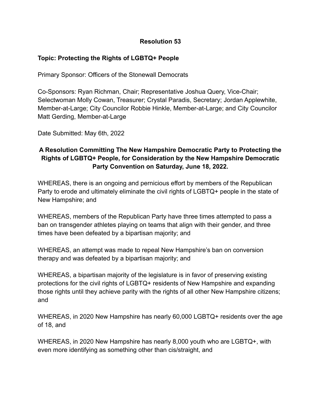## **Topic: Protecting the Rights of LGBTQ+ People**

Primary Sponsor: Officers of the Stonewall Democrats

Co-Sponsors: Ryan Richman, Chair; Representative Joshua Query, Vice-Chair; Selectwoman Molly Cowan, Treasurer; Crystal Paradis, Secretary; Jordan Applewhite, Member-at-Large; City Councilor Robbie Hinkle, Member-at-Large; and City Councilor Matt Gerding, Member-at-Large

Date Submitted: May 6th, 2022

# **A Resolution Committing The New Hampshire Democratic Party to Protecting the Rights of LGBTQ+ People, for Consideration by the New Hampshire Democratic Party Convention on Saturday, June 18, 2022.**

WHEREAS, there is an ongoing and pernicious effort by members of the Republican Party to erode and ultimately eliminate the civil rights of LGBTQ+ people in the state of New Hampshire; and

WHEREAS, members of the Republican Party have three times attempted to pass a ban on transgender athletes playing on teams that align with their gender, and three times have been defeated by a bipartisan majority; and

WHEREAS, an attempt was made to repeal New Hampshire's ban on conversion therapy and was defeated by a bipartisan majority; and

WHEREAS, a bipartisan majority of the legislature is in favor of preserving existing protections for the civil rights of LGBTQ+ residents of New Hampshire and expanding those rights until they achieve parity with the rights of all other New Hampshire citizens; and

WHEREAS, in 2020 New Hampshire has nearly 60,000 LGBTQ+ residents over the age of 18, and

WHEREAS, in 2020 New Hampshire has nearly 8,000 youth who are LGBTQ+, with even more identifying as something other than cis/straight, and